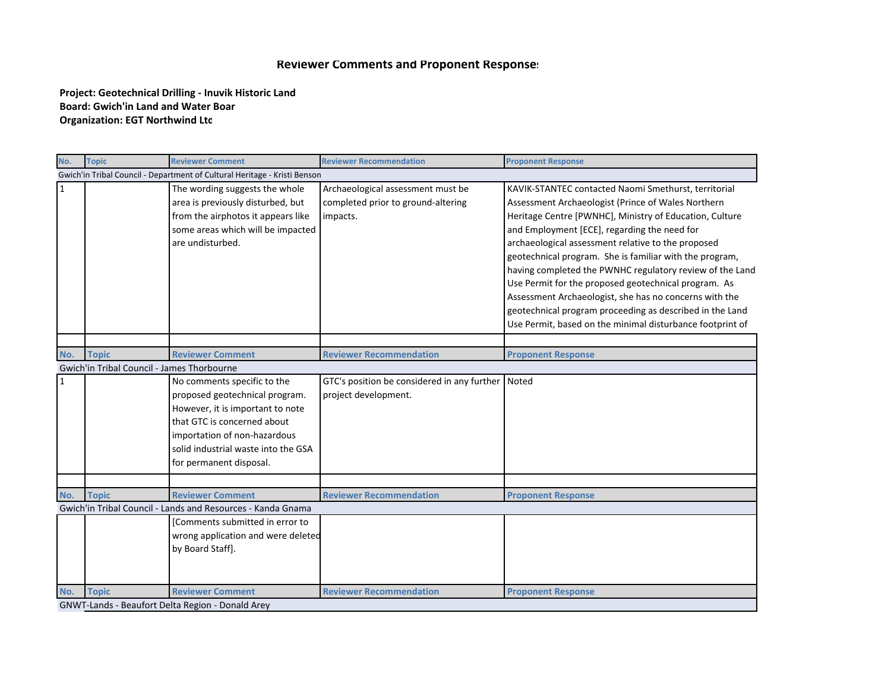## **Reviewer Comments and Proponent Responses**

**Project: Geotechnical Drilling ‐ Inuvik Historic Land Board: Gwich'in Land and Water Boar Organization: EGT Northwind Ltd** 

| No.                                                                       | <b>Topic</b>                               | <b>Reviewer Comment</b>                                                                                                                                                                                                            | <b>Reviewer Recommendation</b>                                                      | <b>Proponent Response</b>                                                                                                                                                                                                                                                                                                                                                                                                                                                                                                                                                                                                                     |  |  |  |
|---------------------------------------------------------------------------|--------------------------------------------|------------------------------------------------------------------------------------------------------------------------------------------------------------------------------------------------------------------------------------|-------------------------------------------------------------------------------------|-----------------------------------------------------------------------------------------------------------------------------------------------------------------------------------------------------------------------------------------------------------------------------------------------------------------------------------------------------------------------------------------------------------------------------------------------------------------------------------------------------------------------------------------------------------------------------------------------------------------------------------------------|--|--|--|
| Gwich'in Tribal Council - Department of Cultural Heritage - Kristi Benson |                                            |                                                                                                                                                                                                                                    |                                                                                     |                                                                                                                                                                                                                                                                                                                                                                                                                                                                                                                                                                                                                                               |  |  |  |
| $\mathbf{1}$                                                              |                                            | The wording suggests the whole<br>area is previously disturbed, but<br>from the airphotos it appears like<br>some areas which will be impacted<br>are undisturbed.                                                                 | Archaeological assessment must be<br>completed prior to ground-altering<br>impacts. | KAVIK-STANTEC contacted Naomi Smethurst, territorial<br>Assessment Archaeologist (Prince of Wales Northern<br>Heritage Centre [PWNHC], Ministry of Education, Culture<br>and Employment [ECE], regarding the need for<br>archaeological assessment relative to the proposed<br>geotechnical program. She is familiar with the program,<br>having completed the PWNHC regulatory review of the Land<br>Use Permit for the proposed geotechnical program. As<br>Assessment Archaeologist, she has no concerns with the<br>geotechnical program proceeding as described in the Land<br>Use Permit, based on the minimal disturbance footprint of |  |  |  |
|                                                                           |                                            |                                                                                                                                                                                                                                    |                                                                                     |                                                                                                                                                                                                                                                                                                                                                                                                                                                                                                                                                                                                                                               |  |  |  |
| No.                                                                       | <b>Topic</b>                               | <b>Reviewer Comment</b>                                                                                                                                                                                                            | <b>Reviewer Recommendation</b>                                                      | <b>Proponent Response</b>                                                                                                                                                                                                                                                                                                                                                                                                                                                                                                                                                                                                                     |  |  |  |
|                                                                           | Gwich'in Tribal Council - James Thorbourne |                                                                                                                                                                                                                                    |                                                                                     |                                                                                                                                                                                                                                                                                                                                                                                                                                                                                                                                                                                                                                               |  |  |  |
| 1                                                                         |                                            | No comments specific to the<br>proposed geotechnical program.<br>However, it is important to note<br>that GTC is concerned about<br>importation of non-hazardous<br>solid industrial waste into the GSA<br>for permanent disposal. | GTC's position be considered in any further<br>project development.                 | Noted                                                                                                                                                                                                                                                                                                                                                                                                                                                                                                                                                                                                                                         |  |  |  |
|                                                                           |                                            |                                                                                                                                                                                                                                    |                                                                                     |                                                                                                                                                                                                                                                                                                                                                                                                                                                                                                                                                                                                                                               |  |  |  |
| No.                                                                       | <b>Topic</b>                               | <b>Reviewer Comment</b>                                                                                                                                                                                                            | <b>Reviewer Recommendation</b>                                                      | <b>Proponent Response</b>                                                                                                                                                                                                                                                                                                                                                                                                                                                                                                                                                                                                                     |  |  |  |
|                                                                           |                                            | Gwich'in Tribal Council - Lands and Resources - Kanda Gnama<br>[Comments submitted in error to<br>wrong application and were deleted<br>by Board Staff].                                                                           |                                                                                     |                                                                                                                                                                                                                                                                                                                                                                                                                                                                                                                                                                                                                                               |  |  |  |
| No.                                                                       | <b>Topic</b>                               | <b>Reviewer Comment</b>                                                                                                                                                                                                            | <b>Reviewer Recommendation</b>                                                      | <b>Proponent Response</b>                                                                                                                                                                                                                                                                                                                                                                                                                                                                                                                                                                                                                     |  |  |  |
| GNWT-Lands - Beaufort Delta Region - Donald Arey                          |                                            |                                                                                                                                                                                                                                    |                                                                                     |                                                                                                                                                                                                                                                                                                                                                                                                                                                                                                                                                                                                                                               |  |  |  |